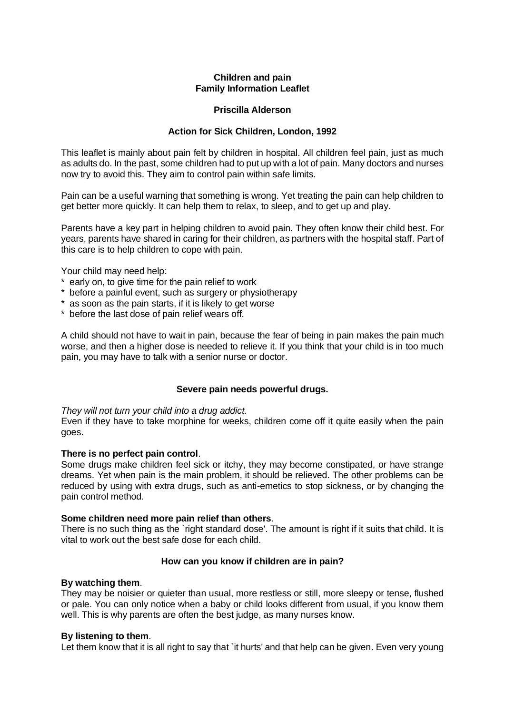# **Children and pain Family Information Leaflet**

## **Priscilla Alderson**

## **Action for Sick Children, London, 1992**

This leaflet is mainly about pain felt by children in hospital. All children feel pain, just as much as adults do. In the past, some children had to put up with a lot of pain. Many doctors and nurses now try to avoid this. They aim to control pain within safe limits.

Pain can be a useful warning that something is wrong. Yet treating the pain can help children to get better more quickly. It can help them to relax, to sleep, and to get up and play.

Parents have a key part in helping children to avoid pain. They often know their child best. For years, parents have shared in caring for their children, as partners with the hospital staff. Part of this care is to help children to cope with pain.

Your child may need help:

- \* early on, to give time for the pain relief to work
- \* before a painful event, such as surgery or physiotherapy
- \* as soon as the pain starts, if it is likely to get worse
- \* before the last dose of pain relief wears off.

A child should not have to wait in pain, because the fear of being in pain makes the pain much worse, and then a higher dose is needed to relieve it. If you think that your child is in too much pain, you may have to talk with a senior nurse or doctor.

### **Severe pain needs powerful drugs.**

*They will not turn your child into a drug addict.*

Even if they have to take morphine for weeks, children come off it quite easily when the pain goes.

### **There is no perfect pain control**.

Some drugs make children feel sick or itchy, they may become constipated, or have strange dreams. Yet when pain is the main problem, it should be relieved. The other problems can be reduced by using with extra drugs, such as anti-emetics to stop sickness, or by changing the pain control method.

### **Some children need more pain relief than others**.

There is no such thing as the `right standard dose'. The amount is right if it suits that child. It is vital to work out the best safe dose for each child.

# **How can you know if children are in pain?**

### **By watching them**.

They may be noisier or quieter than usual, more restless or still, more sleepy or tense, flushed or pale. You can only notice when a baby or child looks different from usual, if you know them well. This is why parents are often the best judge, as many nurses know.

### **By listening to them**.

Let them know that it is all right to say that `it hurts' and that help can be given. Even very young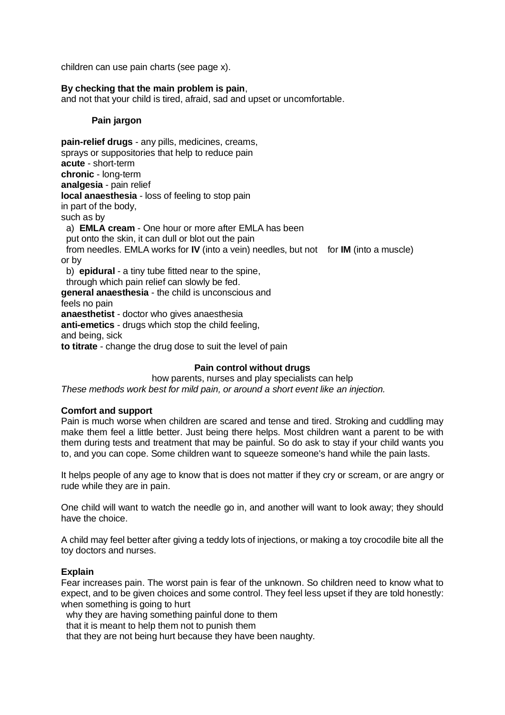children can use pain charts (see page x).

## **By checking that the main problem is pain**,

and not that your child is tired, afraid, sad and upset or uncomfortable.

### **Pain jargon**

**pain-relief drugs** - any pills, medicines, creams, sprays or suppositories that help to reduce pain **acute** - short-term **chronic** - long-term **analgesia** - pain relief **local anaesthesia** - loss of feeling to stop pain in part of the body, such as by a) **EMLA cream** - One hour or more after EMLA has been put onto the skin, it can dull or blot out the pain from needles. EMLA works for **IV** (into a vein) needles, but not for **IM** (into a muscle) or by b) **epidural** - a tiny tube fitted near to the spine, through which pain relief can slowly be fed. **general anaesthesia** - the child is unconscious and feels no pain **anaesthetist** - doctor who gives anaesthesia **anti-emetics** - drugs which stop the child feeling, and being, sick **to titrate** - change the drug dose to suit the level of pain

# **Pain control without drugs**

how parents, nurses and play specialists can help *These methods work best for mild pain, or around a short event like an injection.*

### **Comfort and support**

Pain is much worse when children are scared and tense and tired. Stroking and cuddling may make them feel a little better. Just being there helps. Most children want a parent to be with them during tests and treatment that may be painful. So do ask to stay if your child wants you to, and you can cope. Some children want to squeeze someone's hand while the pain lasts.

It helps people of any age to know that is does not matter if they cry or scream, or are angry or rude while they are in pain.

One child will want to watch the needle go in, and another will want to look away; they should have the choice.

A child may feel better after giving a teddy lots of injections, or making a toy crocodile bite all the toy doctors and nurses.

### **Explain**

Fear increases pain. The worst pain is fear of the unknown. So children need to know what to expect, and to be given choices and some control. They feel less upset if they are told honestly: when something is going to hurt

why they are having something painful done to them

that it is meant to help them not to punish them

that they are not being hurt because they have been naughty.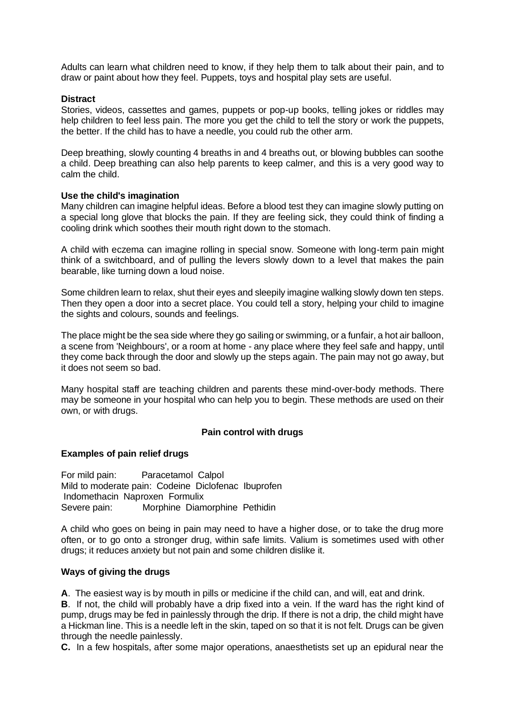Adults can learn what children need to know, if they help them to talk about their pain, and to draw or paint about how they feel. Puppets, toys and hospital play sets are useful.

### **Distract**

Stories, videos, cassettes and games, puppets or pop-up books, telling jokes or riddles may help children to feel less pain. The more you get the child to tell the story or work the puppets, the better. If the child has to have a needle, you could rub the other arm.

Deep breathing, slowly counting 4 breaths in and 4 breaths out, or blowing bubbles can soothe a child. Deep breathing can also help parents to keep calmer, and this is a very good way to calm the child.

#### **Use the child's imagination**

Many children can imagine helpful ideas. Before a blood test they can imagine slowly putting on a special long glove that blocks the pain. If they are feeling sick, they could think of finding a cooling drink which soothes their mouth right down to the stomach.

A child with eczema can imagine rolling in special snow. Someone with long-term pain might think of a switchboard, and of pulling the levers slowly down to a level that makes the pain bearable, like turning down a loud noise.

Some children learn to relax, shut their eyes and sleepily imagine walking slowly down ten steps. Then they open a door into a secret place. You could tell a story, helping your child to imagine the sights and colours, sounds and feelings.

The place might be the sea side where they go sailing or swimming, or a funfair, a hot air balloon, a scene from 'Neighbours', or a room at home - any place where they feel safe and happy, until they come back through the door and slowly up the steps again. The pain may not go away, but it does not seem so bad.

Many hospital staff are teaching children and parents these mind-over-body methods. There may be someone in your hospital who can help you to begin. These methods are used on their own, or with drugs.

### **Pain control with drugs**

#### **Examples of pain relief drugs**

For mild pain: Paracetamol Calpol Mild to moderate pain: Codeine Diclofenac Ibuprofen Indomethacin Naproxen Formulix Severe pain: Morphine Diamorphine Pethidin

A child who goes on being in pain may need to have a higher dose, or to take the drug more often, or to go onto a stronger drug, within safe limits. Valium is sometimes used with other drugs; it reduces anxiety but not pain and some children dislike it.

## **Ways of giving the drugs**

**A**. The easiest way is by mouth in pills or medicine if the child can, and will, eat and drink.

**B**. If not, the child will probably have a drip fixed into a vein. If the ward has the right kind of pump, drugs may be fed in painlessly through the drip. If there is not a drip, the child might have a Hickman line. This is a needle left in the skin, taped on so that it is not felt. Drugs can be given through the needle painlessly.

**C.** In a few hospitals, after some major operations, anaesthetists set up an epidural near the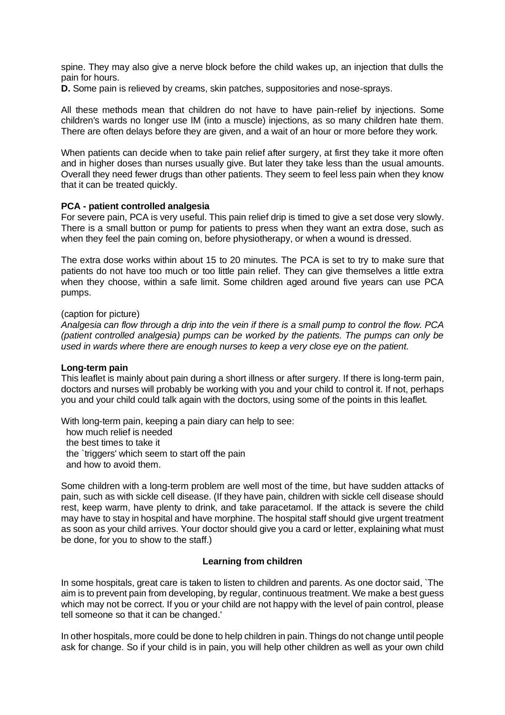spine. They may also give a nerve block before the child wakes up, an injection that dulls the pain for hours.

**D.** Some pain is relieved by creams, skin patches, suppositories and nose-sprays.

All these methods mean that children do not have to have pain-relief by injections. Some children's wards no longer use IM (into a muscle) injections, as so many children hate them. There are often delays before they are given, and a wait of an hour or more before they work.

When patients can decide when to take pain relief after surgery, at first they take it more often and in higher doses than nurses usually give. But later they take less than the usual amounts. Overall they need fewer drugs than other patients. They seem to feel less pain when they know that it can be treated quickly.

### **PCA - patient controlled analgesia**

For severe pain, PCA is very useful. This pain relief drip is timed to give a set dose very slowly. There is a small button or pump for patients to press when they want an extra dose, such as when they feel the pain coming on, before physiotherapy, or when a wound is dressed.

The extra dose works within about 15 to 20 minutes. The PCA is set to try to make sure that patients do not have too much or too little pain relief. They can give themselves a little extra when they choose, within a safe limit. Some children aged around five years can use PCA pumps.

#### (caption for picture)

*Analgesia can flow through a drip into the vein if there is a small pump to control the flow. PCA (patient controlled analgesia) pumps can be worked by the patients. The pumps can only be used in wards where there are enough nurses to keep a very close eye on the patient.*

### **Long-term pain**

This leaflet is mainly about pain during a short illness or after surgery. If there is long-term pain, doctors and nurses will probably be working with you and your child to control it. If not, perhaps you and your child could talk again with the doctors, using some of the points in this leaflet.

With long-term pain, keeping a pain diary can help to see: how much relief is needed the best times to take it the `triggers' which seem to start off the pain and how to avoid them.

Some children with a long-term problem are well most of the time, but have sudden attacks of pain, such as with sickle cell disease. (If they have pain, children with sickle cell disease should rest, keep warm, have plenty to drink, and take paracetamol. If the attack is severe the child may have to stay in hospital and have morphine. The hospital staff should give urgent treatment as soon as your child arrives. Your doctor should give you a card or letter, explaining what must be done, for you to show to the staff.)

### **Learning from children**

In some hospitals, great care is taken to listen to children and parents. As one doctor said, `The aim is to prevent pain from developing, by regular, continuous treatment. We make a best guess which may not be correct. If you or your child are not happy with the level of pain control, please tell someone so that it can be changed.'

In other hospitals, more could be done to help children in pain. Things do not change until people ask for change. So if your child is in pain, you will help other children as well as your own child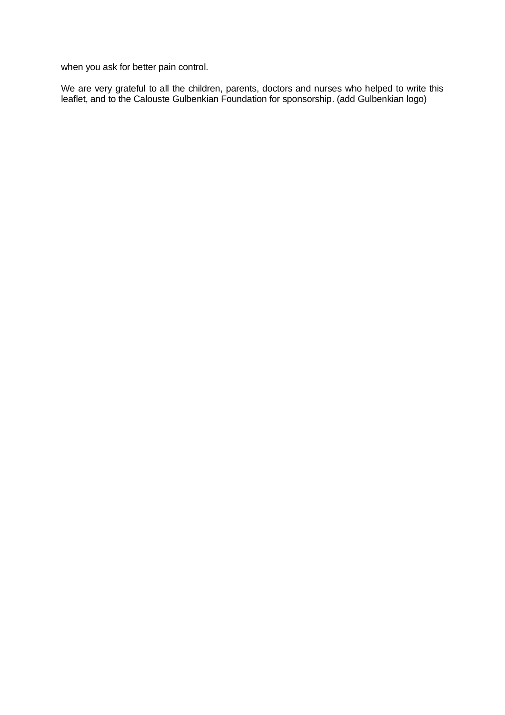when you ask for better pain control.

We are very grateful to all the children, parents, doctors and nurses who helped to write this leaflet, and to the Calouste Gulbenkian Foundation for sponsorship. (add Gulbenkian logo)